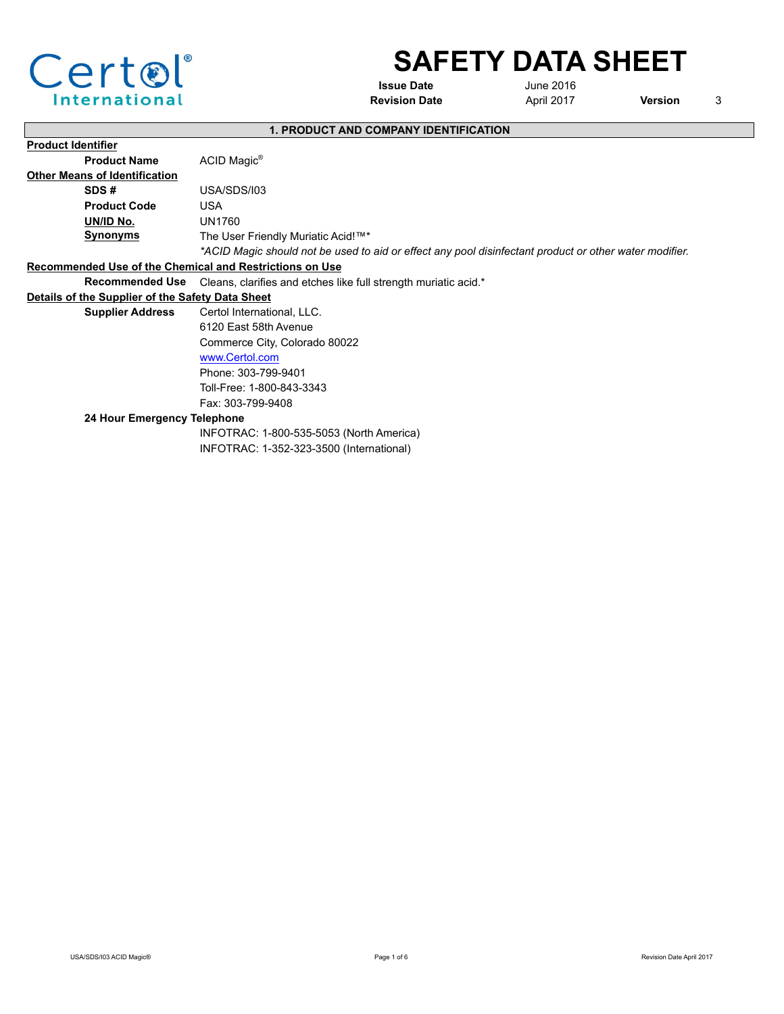

# **SAFETY DATA SHEET**

**Issue Date**

June 2016 **Revision Date April 2017** 

**Version** 3

|  | <b>1. PRODUCT AND COMPANY IDENTIFICATION</b> |
|--|----------------------------------------------|
|--|----------------------------------------------|

| <b>Product Identifier</b>                               |                                                                                                        |
|---------------------------------------------------------|--------------------------------------------------------------------------------------------------------|
| <b>Product Name</b>                                     | ACID Magic <sup>®</sup>                                                                                |
| <b>Other Means of Identification</b>                    |                                                                                                        |
| SDS#                                                    | USA/SDS/I03                                                                                            |
| <b>Product Code</b>                                     | <b>USA</b>                                                                                             |
| UN/ID No.                                               | UN1760                                                                                                 |
| <b>Synonyms</b>                                         | The User Friendly Muriatic Acid!™*                                                                     |
|                                                         | *ACID Magic should not be used to aid or effect any pool disinfectant product or other water modifier. |
| Recommended Use of the Chemical and Restrictions on Use |                                                                                                        |
| <b>Recommended Use</b>                                  | Cleans, clarifies and etches like full strength muriatic acid.*                                        |
| Details of the Supplier of the Safety Data Sheet        |                                                                                                        |
| <b>Supplier Address</b>                                 | Certol International, LLC.                                                                             |
|                                                         | 6120 East 58th Avenue                                                                                  |
|                                                         | Commerce City, Colorado 80022                                                                          |
|                                                         | www.Certol.com                                                                                         |
|                                                         | Phone: 303-799-9401                                                                                    |
|                                                         | Toll-Free: 1-800-843-3343                                                                              |
|                                                         | Fax: 303-799-9408                                                                                      |
| 24 Hour Emergency Telephone                             |                                                                                                        |
|                                                         | INFOTRAC: 1-800-535-5053 (North America)                                                               |
|                                                         | INFOTRAC: 1-352-323-3500 (International)                                                               |
|                                                         |                                                                                                        |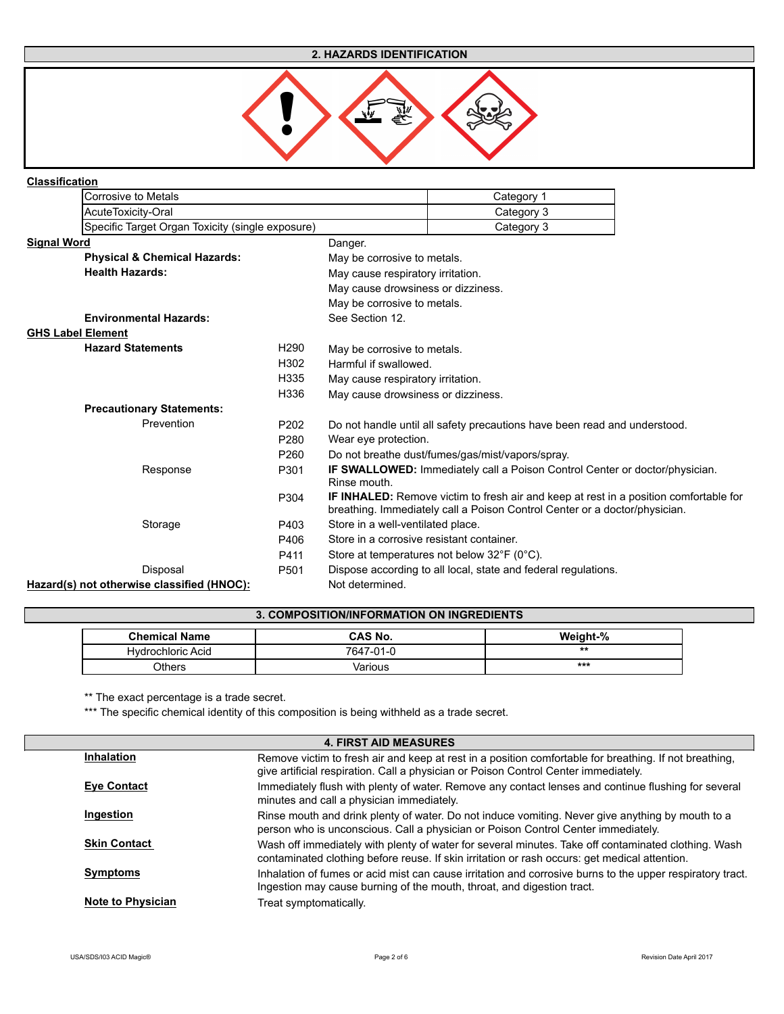## **2. HAZARDS IDENTIFICATION**



#### **Classification**

|                    | Corrosive to Metals                              |                  |                                           | Category 1                                                                                   |  |
|--------------------|--------------------------------------------------|------------------|-------------------------------------------|----------------------------------------------------------------------------------------------|--|
|                    | AcuteToxicity-Oral                               |                  |                                           | Category 3                                                                                   |  |
|                    | Specific Target Organ Toxicity (single exposure) |                  |                                           | Category 3                                                                                   |  |
| <b>Signal Word</b> |                                                  |                  | Danger.                                   |                                                                                              |  |
|                    | <b>Physical &amp; Chemical Hazards:</b>          |                  | May be corrosive to metals.               |                                                                                              |  |
|                    | <b>Health Hazards:</b>                           |                  | May cause respiratory irritation.         |                                                                                              |  |
|                    |                                                  |                  | May cause drowsiness or dizziness.        |                                                                                              |  |
|                    |                                                  |                  | May be corrosive to metals.               |                                                                                              |  |
|                    | <b>Environmental Hazards:</b>                    |                  | See Section 12.                           |                                                                                              |  |
|                    | <b>GHS Label Element</b>                         |                  |                                           |                                                                                              |  |
|                    | <b>Hazard Statements</b>                         | H <sub>290</sub> | May be corrosive to metals.               |                                                                                              |  |
|                    |                                                  | H302             | Harmful if swallowed.                     |                                                                                              |  |
|                    |                                                  | H335             | May cause respiratory irritation.         |                                                                                              |  |
|                    |                                                  | H336             | May cause drowsiness or dizziness.        |                                                                                              |  |
|                    | <b>Precautionary Statements:</b>                 |                  |                                           |                                                                                              |  |
|                    | Prevention                                       | P202             |                                           | Do not handle until all safety precautions have been read and understood.                    |  |
|                    |                                                  | P <sub>280</sub> | Wear eye protection.                      |                                                                                              |  |
|                    |                                                  | P <sub>260</sub> |                                           | Do not breathe dust/fumes/gas/mist/vapors/spray.                                             |  |
|                    | Response                                         | P301             |                                           | <b>IF SWALLOWED:</b> Immediately call a Poison Control Center or doctor/physician.           |  |
|                    |                                                  |                  | Rinse mouth.                              |                                                                                              |  |
|                    |                                                  | P304             |                                           | <b>IF INHALED:</b> Remove victim to fresh air and keep at rest in a position comfortable for |  |
|                    |                                                  |                  |                                           | breathing. Immediately call a Poison Control Center or a doctor/physician.                   |  |
|                    | Storage                                          | P403             | Store in a well-ventilated place.         |                                                                                              |  |
|                    |                                                  | P406             | Store in a corrosive resistant container. |                                                                                              |  |
|                    |                                                  | P411             |                                           | Store at temperatures not below $32^{\circ}F$ (0°C).                                         |  |
|                    | Disposal                                         | P <sub>501</sub> |                                           | Dispose according to all local, state and federal regulations.                               |  |
|                    | Hazard(s) not otherwise classified (HNOC):       |                  | Not determined.                           |                                                                                              |  |

## **3. COMPOSITION/INFORMATION ON INGREDIENTS**

| <b>Chemical Name</b> | CAS No.   | <b>Weight-%</b> |
|----------------------|-----------|-----------------|
| Hydrochloric Acid    | 7647-01-0 | $**$            |
| つthers               | Various   | ***             |

\*\* The exact percentage is a trade secret.

\*\*\* The specific chemical identity of this composition is being withheld as a trade secret.

|                          | <b>4. FIRST AID MEASURES</b>                                                                                                                                                                         |
|--------------------------|------------------------------------------------------------------------------------------------------------------------------------------------------------------------------------------------------|
| <b>Inhalation</b>        | Remove victim to fresh air and keep at rest in a position comfortable for breathing. If not breathing,<br>give artificial respiration. Call a physician or Poison Control Center immediately.        |
| Eye Contact              | Immediately flush with plenty of water. Remove any contact lenses and continue flushing for several<br>minutes and call a physician immediately.                                                     |
| Ingestion                | Rinse mouth and drink plenty of water. Do not induce vomiting. Never give anything by mouth to a<br>person who is unconscious. Call a physician or Poison Control Center immediately.                |
| <b>Skin Contact</b>      | Wash off immediately with plenty of water for several minutes. Take off contaminated clothing. Wash<br>contaminated clothing before reuse. If skin irritation or rash occurs: get medical attention. |
| <b>Symptoms</b>          | Inhalation of fumes or acid mist can cause irritation and corrosive burns to the upper respiratory tract.<br>Ingestion may cause burning of the mouth, throat, and digestion tract.                  |
| <b>Note to Physician</b> | Treat symptomatically.                                                                                                                                                                               |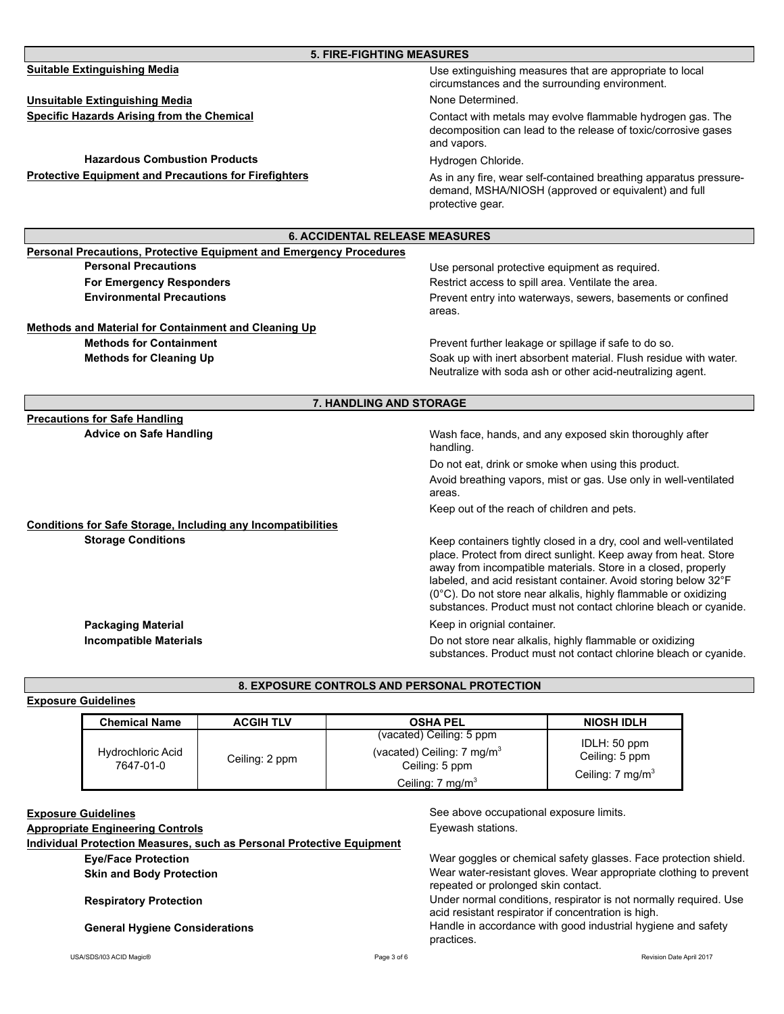| <b>5. FIRE-FIGHTING MEASURES</b>                                           |                                                                                                                                                                                                                                                                                                                                                                                                                 |
|----------------------------------------------------------------------------|-----------------------------------------------------------------------------------------------------------------------------------------------------------------------------------------------------------------------------------------------------------------------------------------------------------------------------------------------------------------------------------------------------------------|
| <b>Suitable Extinguishing Media</b>                                        | Use extinguishing measures that are appropriate to local<br>circumstances and the surrounding environment.                                                                                                                                                                                                                                                                                                      |
| <b>Unsuitable Extinguishing Media</b>                                      | None Determined.                                                                                                                                                                                                                                                                                                                                                                                                |
| <b>Specific Hazards Arising from the Chemical</b>                          | Contact with metals may evolve flammable hydrogen gas. The<br>decomposition can lead to the release of toxic/corrosive gases<br>and vapors.                                                                                                                                                                                                                                                                     |
| <b>Hazardous Combustion Products</b>                                       | Hydrogen Chloride.                                                                                                                                                                                                                                                                                                                                                                                              |
| <b>Protective Equipment and Precautions for Firefighters</b>               | As in any fire, wear self-contained breathing apparatus pressure-<br>demand, MSHA/NIOSH (approved or equivalent) and full<br>protective gear.                                                                                                                                                                                                                                                                   |
| <b>6. ACCIDENTAL RELEASE MEASURES</b>                                      |                                                                                                                                                                                                                                                                                                                                                                                                                 |
| <b>Personal Precautions, Protective Equipment and Emergency Procedures</b> |                                                                                                                                                                                                                                                                                                                                                                                                                 |
| <b>Personal Precautions</b>                                                | Use personal protective equipment as required.                                                                                                                                                                                                                                                                                                                                                                  |
| <b>For Emergency Responders</b>                                            | Restrict access to spill area. Ventilate the area.                                                                                                                                                                                                                                                                                                                                                              |
| <b>Environmental Precautions</b>                                           | Prevent entry into waterways, sewers, basements or confined<br>areas.                                                                                                                                                                                                                                                                                                                                           |
| <b>Methods and Material for Containment and Cleaning Up</b>                |                                                                                                                                                                                                                                                                                                                                                                                                                 |
| <b>Methods for Containment</b>                                             | Prevent further leakage or spillage if safe to do so.                                                                                                                                                                                                                                                                                                                                                           |
| <b>Methods for Cleaning Up</b>                                             | Soak up with inert absorbent material. Flush residue with water.<br>Neutralize with soda ash or other acid-neutralizing agent.                                                                                                                                                                                                                                                                                  |
| <b>7. HANDLING AND STORAGE</b>                                             |                                                                                                                                                                                                                                                                                                                                                                                                                 |
| <b>Precautions for Safe Handling</b>                                       |                                                                                                                                                                                                                                                                                                                                                                                                                 |
| <b>Advice on Safe Handling</b>                                             | Wash face, hands, and any exposed skin thoroughly after<br>handling.                                                                                                                                                                                                                                                                                                                                            |
|                                                                            | Do not eat, drink or smoke when using this product.                                                                                                                                                                                                                                                                                                                                                             |
|                                                                            | Avoid breathing vapors, mist or gas. Use only in well-ventilated<br>areas.                                                                                                                                                                                                                                                                                                                                      |
|                                                                            | Keep out of the reach of children and pets.                                                                                                                                                                                                                                                                                                                                                                     |
| <b>Conditions for Safe Storage, Including any Incompatibilities</b>        |                                                                                                                                                                                                                                                                                                                                                                                                                 |
| <b>Storage Conditions</b>                                                  | Keep containers tightly closed in a dry, cool and well-ventilated<br>place. Protect from direct sunlight. Keep away from heat. Store<br>away from incompatible materials. Store in a closed, properly<br>labeled, and acid resistant container. Avoid storing below 32°F<br>(0°C). Do not store near alkalis, highly flammable or oxidizing<br>substances. Product must not contact chlorine bleach or cyanide. |
| <b>Packaging Material</b>                                                  | Keep in orignial container.                                                                                                                                                                                                                                                                                                                                                                                     |
| <b>Incompatible Materials</b>                                              | Do not store near alkalis, highly flammable or oxidizing<br>substances. Product must not contact chlorine bleach or cyanide.                                                                                                                                                                                                                                                                                    |

# **Exposure Guidelines**

#### **Chemical Name ACGIH TLV OSHA PEL NIOSH IDLH** Hydrochloric Acid Ceiling: 2 ppm (vacated) Ceiling: 5 ppm (vacated) Ceiling: 7 mg/m<sup>3</sup> Ceiling: 5 ppm Ceiling: 7 mg/m<sup>3</sup> IDLH: 50 ppm Ceiling: 5 ppm Ceiling: 7 mg/m<sup>3</sup>

**8. EXPOSURE CONTROLS AND PERSONAL PROTECTION**

## **Appropriate Engineering Controls**

**Individual Protection Measures, such as Personal Protective Equipment**

**Eye/Face Protection**

**Skin and Body Protection**

# **Respiratory Protection**

**Exposure Guidelines Exposure Guidelines See above occupational exposure limits.** Eyewash stations.

> Wear goggles or chemical safety glasses. Face protection shield. Wear water-resistant gloves. Wear appropriate clothing to prevent repeated or prolonged skin contact. Under normal conditions, respirator is not normally required. Use acid resistant respirator if concentration is high.

**General Hygiene Considerations** Handle in accordance with good industrial hygiene and safety practices.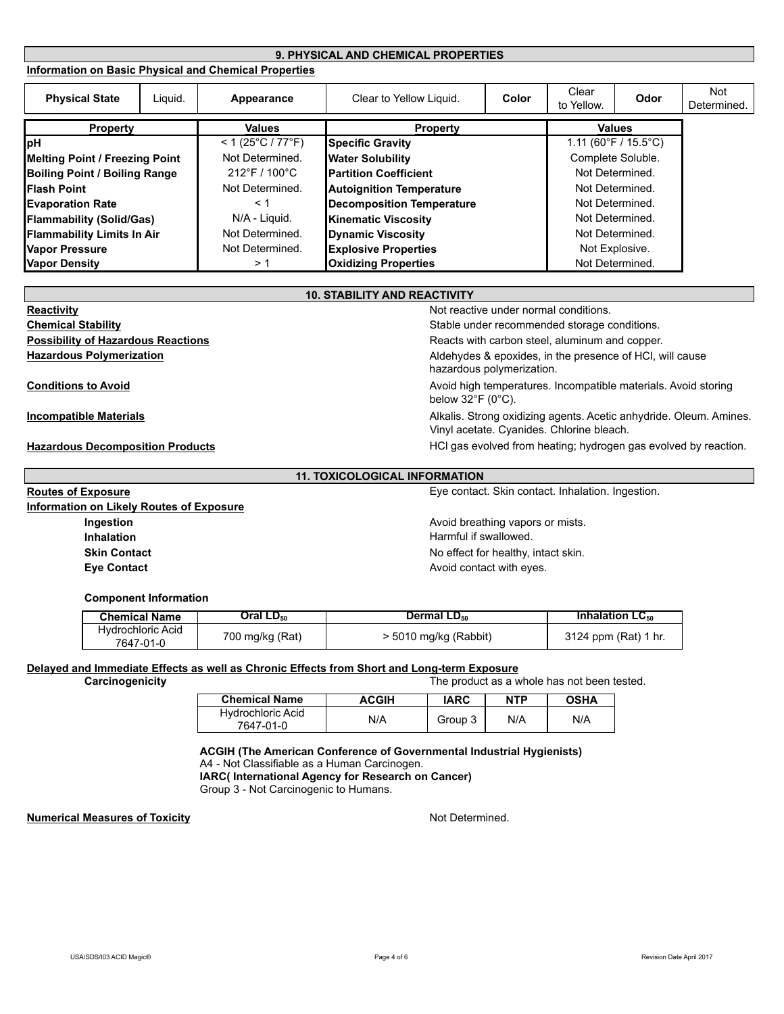#### **Information on Basic Physical and Chemical Properties 9. PHYSICAL AND CHEMICAL PROPERTIES**

| <b>Physical State</b>                 | Liguid. | Appearance                        | Clear to Yellow Liquid.          | Color | Clear<br>to Yellow. | Odor                 | Not<br>Determined. |
|---------------------------------------|---------|-----------------------------------|----------------------------------|-------|---------------------|----------------------|--------------------|
| <b>Property</b>                       |         | <b>Values</b>                     | <b>Property</b>                  |       |                     | <b>Values</b>        |                    |
| <b>pH</b>                             |         | $< 1 (25^{\circ}C / 77^{\circ}F)$ | <b>Specific Gravity</b>          |       |                     | 1.11 (60°F / 15.5°C) |                    |
| <b>Melting Point / Freezing Point</b> |         | Not Determined.                   | <b>Water Solubility</b>          |       |                     | Complete Soluble.    |                    |
| <b>Boiling Point / Boiling Range</b>  |         | 212°F / 100°C                     | <b>IPartition Coefficient</b>    |       |                     | Not Determined.      |                    |
| <b>IFlash Point</b>                   |         | Not Determined.                   | <b>Autoignition Temperature</b>  |       |                     | Not Determined.      |                    |
| <b>Evaporation Rate</b>               |         | ← 1                               | <b>Decomposition Temperature</b> |       |                     | Not Determined.      |                    |
| <b>Flammability (Solid/Gas)</b>       |         | N/A - Liquid.                     | <b>Kinematic Viscosity</b>       |       | Not Determined.     |                      |                    |
| <b>Flammability Limits In Air</b>     |         | Not Determined.                   | <b>Dynamic Viscosity</b>         |       | Not Determined.     |                      |                    |
| <b>Vapor Pressure</b>                 |         | Not Determined.                   | <b>Explosive Properties</b>      |       |                     | Not Explosive.       |                    |
| <b>Vapor Density</b>                  |         | > 1                               | <b>Oxidizing Properties</b>      |       | Not Determined.     |                      |                    |

| <b>10. STABILITY AND REACTIVITY</b>       |                                                                                                                 |
|-------------------------------------------|-----------------------------------------------------------------------------------------------------------------|
| Reactivity                                | Not reactive under normal conditions.                                                                           |
| <b>Chemical Stability</b>                 | Stable under recommended storage conditions.                                                                    |
| <b>Possibility of Hazardous Reactions</b> | Reacts with carbon steel, aluminum and copper.                                                                  |
| <b>Hazardous Polymerization</b>           | Aldehydes & epoxides, in the presence of HCI, will cause<br>hazardous polymerization.                           |
| <b>Conditions to Avoid</b>                | Avoid high temperatures. Incompatible materials. Avoid storing<br>below $32^{\circ}$ F (0 $^{\circ}$ C).        |
| <b>Incompatible Materials</b>             | Alkalis. Strong oxidizing agents. Acetic anhydride. Oleum. Amines.<br>Vinyl acetate. Cyanides. Chlorine bleach. |
| <b>Hazardous Decomposition Products</b>   | HCI gas evolved from heating; hydrogen gas evolved by reaction.                                                 |

#### **11. TOXICOLOGICAL INFORMATION**

Eye contact. Skin contact. Inhalation. Ingestion.

**Ingestion Ingestion Ingestion Avoid breathing vapors or mists. Skin Contact No effect for healthy, intact skin.** No effect for healthy, intact skin. Harmful if swallowed.

# **Eye Contact Avoid contact** Avoid contact with eyes.

#### **Component Information**

**Information on Likely Routes of Exposure**

**Inhalation**

**Routes of Exposure**

| <b>Chemical Name</b> | Oral LD <sub>50</sub> | Dermal $LD_{50}$      | Inhalation $LC_{50}$ |
|----------------------|-----------------------|-----------------------|----------------------|
| Hydrochloric Acid    | 700 mg/kg (Rat)       |                       |                      |
| 7647-01-0            |                       | > 5010 mg/kg (Rabbit) | 3124 ppm (Rat) 1 hr. |

# **Delayed and Immediate Effects as well as Chronic Effects from Short and Long-term Exposure**<br>Carcinogenicity **Carcinogenicity**

The product as a whole has not been tested.

| <b>Chemical Name</b>                  | <b>ACGIH</b> | IARC    | <b>NTP</b> | <b>OSHA</b> |
|---------------------------------------|--------------|---------|------------|-------------|
| <b>Hydrochloric Acid</b><br>7647-01-0 | N/A          | Group 3 | N/A        | N/A         |

# **ACGIH (The American Conference of Governmental Industrial Hygienists)**

A4 - Not Classifiable as a Human Carcinogen.

**IARC( International Agency for Research on Cancer)**

Group 3 - Not Carcinogenic to Humans.

#### **Numerical Measures of Toxicity**

Not Determined.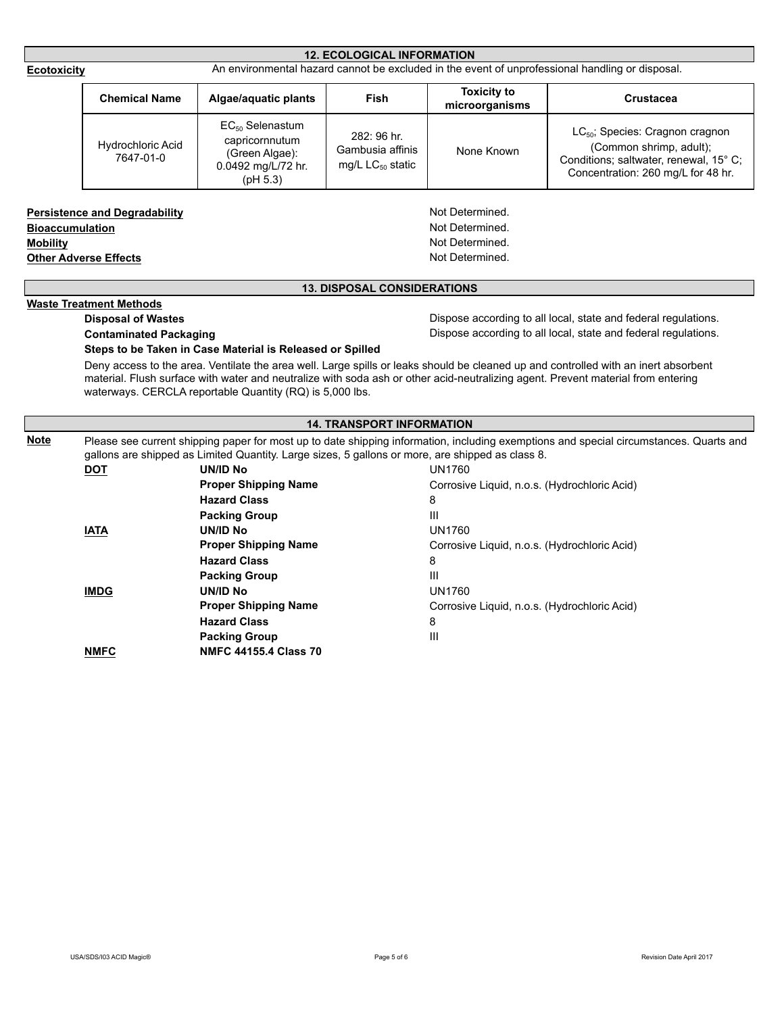| Page 5 of 6 |  |  |
|-------------|--|--|
|             |  |  |

|                                           |                                                                      |                                                                                                  | <b>12. ECOLOGICAL INFORMATION</b>                        |                                                                          |                                                                                                                                                        |
|-------------------------------------------|----------------------------------------------------------------------|--------------------------------------------------------------------------------------------------|----------------------------------------------------------|--------------------------------------------------------------------------|--------------------------------------------------------------------------------------------------------------------------------------------------------|
| <b>Ecotoxicity</b>                        |                                                                      |                                                                                                  |                                                          |                                                                          | An environmental hazard cannot be excluded in the event of unprofessional handling or disposal.                                                        |
|                                           | <b>Chemical Name</b>                                                 | Algae/aquatic plants                                                                             | Fish                                                     | <b>Toxicity to</b><br>microorganisms                                     | <b>Crustacea</b>                                                                                                                                       |
|                                           | Hydrochloric Acid<br>7647-01-0                                       | $EC_{50}$ Selenastum<br>capricornnutum<br>(Green Algae):<br>0.0492 mg/L/72 hr.<br>(pH 5.3)       | 282: 96 hr.<br>Gambusia affinis<br>mg/L $LC_{50}$ static | None Known                                                               | LC <sub>50</sub> ; Species: Cragnon cragnon<br>(Common shrimp, adult);<br>Conditions; saltwater, renewal, 15° C;<br>Concentration: 260 mg/L for 48 hr. |
| <b>Bioaccumulation</b><br><b>Mobility</b> | <b>Persistence and Degradability</b><br><b>Other Adverse Effects</b> |                                                                                                  |                                                          | Not Determined.<br>Not Determined.<br>Not Determined.<br>Not Determined. |                                                                                                                                                        |
|                                           |                                                                      |                                                                                                  | <b>13. DISPOSAL CONSIDERATIONS</b>                       |                                                                          |                                                                                                                                                        |
|                                           | <b>Waste Treatment Methods</b>                                       |                                                                                                  |                                                          |                                                                          |                                                                                                                                                        |
|                                           | <b>Disposal of Wastes</b>                                            |                                                                                                  |                                                          |                                                                          | Dispose according to all local, state and federal regulations.                                                                                         |
|                                           |                                                                      |                                                                                                  |                                                          |                                                                          | Dispose according to all local, state and federal regulations.                                                                                         |
|                                           | <b>Contaminated Packaging</b>                                        | Steps to be Taken in Case Material is Released or Spilled                                        |                                                          |                                                                          | Deny access to the area. Ventilate the area well. Large spills or leaks should be cleaned up and controlled with an inert absorbent                    |
|                                           |                                                                      | waterways. CERCLA reportable Quantity (RQ) is 5,000 lbs.                                         |                                                          |                                                                          | material. Flush surface with water and neutralize with soda ash or other acid-neutralizing agent. Prevent material from entering                       |
|                                           |                                                                      |                                                                                                  | <b>14. TRANSPORT INFORMATION</b>                         |                                                                          |                                                                                                                                                        |
| <b>Note</b>                               |                                                                      |                                                                                                  |                                                          |                                                                          | Please see current shipping paper for most up to date shipping information, including exemptions and special circumstances. Quarts and                 |
|                                           |                                                                      | gallons are shipped as Limited Quantity. Large sizes, 5 gallons or more, are shipped as class 8. |                                                          |                                                                          |                                                                                                                                                        |
|                                           | <b>DOT</b>                                                           | <b>UN/ID No</b><br><b>Proper Shipping Name</b>                                                   |                                                          | UN1760                                                                   |                                                                                                                                                        |
|                                           |                                                                      | <b>Hazard Class</b>                                                                              |                                                          | Corrosive Liquid, n.o.s. (Hydrochloric Acid)<br>8                        |                                                                                                                                                        |
|                                           |                                                                      | <b>Packing Group</b>                                                                             |                                                          | Ш                                                                        |                                                                                                                                                        |
|                                           | <b>IATA</b>                                                          | <b>UN/ID No</b>                                                                                  |                                                          | <b>UN1760</b>                                                            |                                                                                                                                                        |
|                                           |                                                                      | <b>Proper Shipping Name</b>                                                                      |                                                          | Corrosive Liquid, n.o.s. (Hydrochloric Acid)                             |                                                                                                                                                        |
|                                           |                                                                      | <b>Hazard Class</b>                                                                              |                                                          | 8                                                                        |                                                                                                                                                        |
|                                           |                                                                      | <b>Packing Group</b>                                                                             |                                                          | Ш                                                                        |                                                                                                                                                        |
|                                           | <b>IMDG</b>                                                          | <b>UN/ID No</b>                                                                                  |                                                          | <b>UN1760</b>                                                            |                                                                                                                                                        |
|                                           |                                                                      | <b>Proper Shipping Name</b><br><b>Hazard Class</b>                                               |                                                          | Corrosive Liquid, n.o.s. (Hydrochloric Acid)<br>8                        |                                                                                                                                                        |
|                                           | <b>NMFC</b>                                                          | <b>Packing Group</b><br><b>NMFC 44155.4 Class 70</b>                                             |                                                          | Ш                                                                        |                                                                                                                                                        |